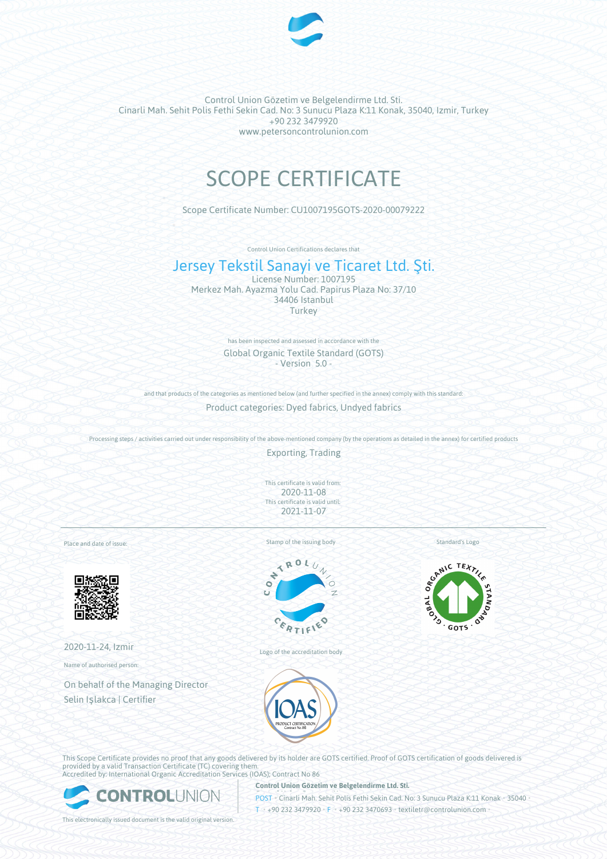

Control Union Gözetim ve Belgelendirme Ltd. Sti. Cinarli Mah. Sehit Polis Fethi Sekin Cad. No: 3 Sunucu Plaza K:11 Konak, 35040, Izmir, Turkey +90 232 3479920 www.petersoncontrolunion.com

# SCOPE CERTIFICATE

Scope Certificate Number: CU1007195GOTS-2020-00079222

Control Union Certifications declares that

## Jersey Tekstil Sanayi ve Ticaret Ltd. Şti.

License Number: 1007195 Merkez Mah. Ayazma Yolu Cad. Papirus Plaza No: 37/10 34406 Istanbul Turkey

> has been inspected and assessed in accordance with the Global Organic Textile Standard (GOTS) - Version 5.0 -

and that products of the categories as mentioned below (and further specified in the annex) comply with this standard: Product categories: Dyed fabrics, Undyed fabrics

Processing steps / activities carried out under responsibility of the above-mentioned company (by the operations as detailed in the annex) for certified products

Exporting, Trading

This certificate is valid from: 2020-11-08 This certificate is valid until: 2021-11-07

Place and date of issue:



2020-11-24, Izmir

Name of authorised person:

On behalf of the Managing Director Selin Işlakca | Certifier

Stamp of the issuing body



Logo of the accreditation body

Standard's Logo



This Scope Certificate provides no proof that any goods delivered by its holder are GOTS certified. Proof of GOTS certification of goods delivered is provided by a valid Transaction Certificate (TC) covering them.

**EONTROLUNION** 

Accredited by: International Organic Accreditation Services (IOAS); Contract No 86

**Control Union Gözetim ve Belgelendirme Ltd. Sti.**

**POST** Cinarli Mah. Sehit Polis Fethi Sekin Cad. No: 3 Sunucu Plaza K:11 Konak • 35040 T • +90 232 3479920 • F • +90 232 3470693 • textiletr@controlunion.com

This electronically issued document is the valid original version.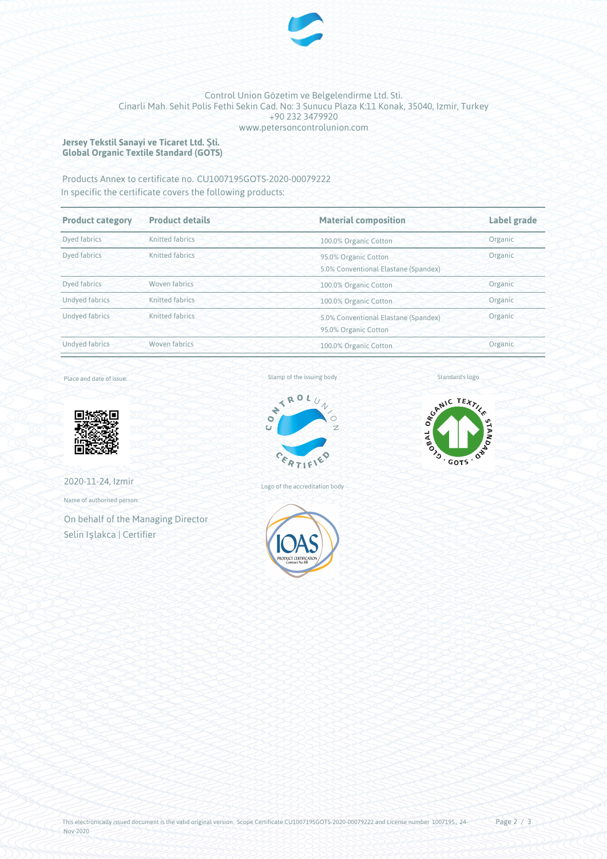

## Control Union Gözetim ve Belgelendirme Ltd. Sti. Cinarli Mah. Sehit Polis Fethi Sekin Cad. No: 3 Sunucu Plaza K:11 Konak, 35040, Izmir, Turkey +90 232 3479920 www.petersoncontrolunion.com

### **Jersey Tekstil Sanayi ve Ticaret Ltd. Şti. Global Organic Textile Standard (GOTS)**

## Products Annex to certificate no. CU1007195GOTS-2020-00079222 In specific the certificate covers the following products:

| <b>Product category</b> | <b>Product details</b> | <b>Material composition</b>                                             | <b>Label grade</b> |
|-------------------------|------------------------|-------------------------------------------------------------------------|--------------------|
| Dyed fabrics            | Knitted fabrics        | 100.0% Organic Cotton                                                   | Organic            |
| Dved fabrics            | Knitted fabrics        | Organic<br>95.0% Organic Cotton<br>5.0% Conventional Elastane (Spandex) |                    |
| Dyed fabrics            | Woven fabrics          | 100.0% Organic Cotton                                                   | Organic            |
| <b>Undyed fabrics</b>   | Knitted fabrics        | Organic<br>100.0% Organic Cotton                                        |                    |
| Undyed fabrics          | Knitted fabrics        | 5.0% Conventional Elastane (Spandex)<br>95.0% Organic Cotton            | Organic            |
| <b>Undyed fabrics</b>   | Woven fabrics          | Organic<br>100.0% Organic Cotton                                        |                    |

## Place and date of issue:



2020-11-24, Izmir

Name of authorised person:

On behalf of the Managing Director Selin Işlakca | Certifier

#### Stamp of the issuing body



Logo of the accreditation body



Standard's logo